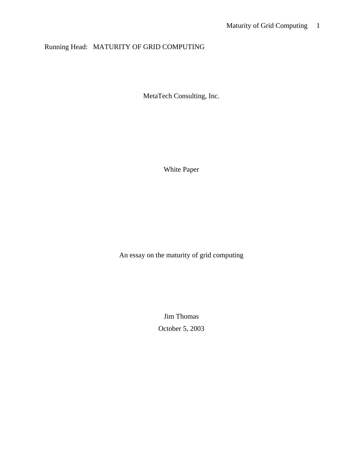# Running Head: MATURITY OF GRID COMPUTING

MetaTech Consulting, Inc.

White Paper

An essay on the maturity of grid computing

Jim Thomas October 5, 2003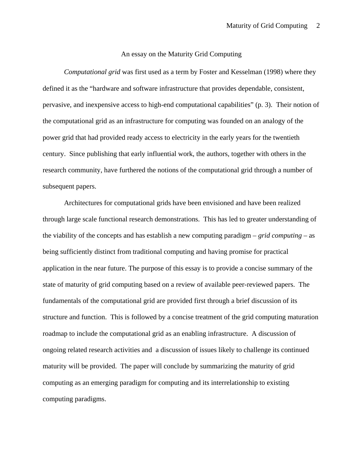#### An essay on the Maturity Grid Computing

*Computational grid* was first used as a term by Foster and Kesselman (1998) where they defined it as the "hardware and software infrastructure that provides dependable, consistent, pervasive, and inexpensive access to high-end computational capabilities" (p. 3). Their notion of the computational grid as an infrastructure for computing was founded on an analogy of the power grid that had provided ready access to electricity in the early years for the twentieth century. Since publishing that early influential work, the authors, together with others in the research community, have furthered the notions of the computational grid through a number of subsequent papers.

Architectures for computational grids have been envisioned and have been realized through large scale functional research demonstrations. This has led to greater understanding of the viability of the concepts and has establish a new computing paradigm – *grid computing* – as being sufficiently distinct from traditional computing and having promise for practical application in the near future. The purpose of this essay is to provide a concise summary of the state of maturity of grid computing based on a review of available peer-reviewed papers. The fundamentals of the computational grid are provided first through a brief discussion of its structure and function. This is followed by a concise treatment of the grid computing maturation roadmap to include the computational grid as an enabling infrastructure. A discussion of ongoing related research activities and a discussion of issues likely to challenge its continued maturity will be provided. The paper will conclude by summarizing the maturity of grid computing as an emerging paradigm for computing and its interrelationship to existing computing paradigms.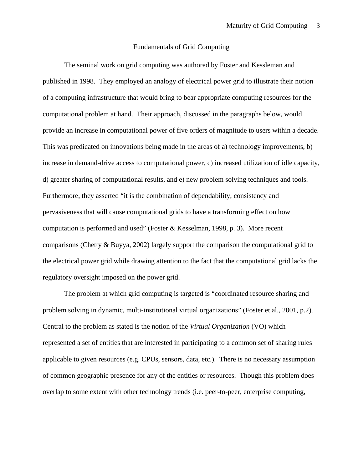#### Fundamentals of Grid Computing

The seminal work on grid computing was authored by Foster and Kessleman and published in 1998. They employed an analogy of electrical power grid to illustrate their notion of a computing infrastructure that would bring to bear appropriate computing resources for the computational problem at hand. Their approach, discussed in the paragraphs below, would provide an increase in computational power of five orders of magnitude to users within a decade. This was predicated on innovations being made in the areas of a) technology improvements, b) increase in demand-drive access to computational power, c) increased utilization of idle capacity, d) greater sharing of computational results, and e) new problem solving techniques and tools. Furthermore, they asserted "it is the combination of dependability, consistency and pervasiveness that will cause computational grids to have a transforming effect on how computation is performed and used" (Foster & Kesselman, 1998, p. 3). More recent comparisons (Chetty & Buyya, 2002) largely support the comparison the computational grid to the electrical power grid while drawing attention to the fact that the computational grid lacks the regulatory oversight imposed on the power grid.

The problem at which grid computing is targeted is "coordinated resource sharing and problem solving in dynamic, multi-institutional virtual organizations" (Foster et al., 2001, p.2). Central to the problem as stated is the notion of the *Virtual Organization* (VO) which represented a set of entities that are interested in participating to a common set of sharing rules applicable to given resources (e.g. CPUs, sensors, data, etc.). There is no necessary assumption of common geographic presence for any of the entities or resources. Though this problem does overlap to some extent with other technology trends (i.e. peer-to-peer, enterprise computing,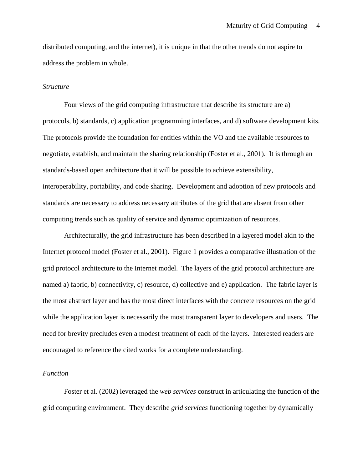distributed computing, and the internet), it is unique in that the other trends do not aspire to address the problem in whole.

#### *Structure*

Four views of the grid computing infrastructure that describe its structure are a) protocols, b) standards, c) application programming interfaces, and d) software development kits. The protocols provide the foundation for entities within the VO and the available resources to negotiate, establish, and maintain the sharing relationship (Foster et al., 2001). It is through an standards-based open architecture that it will be possible to achieve extensibility, interoperability, portability, and code sharing. Development and adoption of new protocols and standards are necessary to address necessary attributes of the grid that are absent from other computing trends such as quality of service and dynamic optimization of resources.

Architecturally, the grid infrastructure has been described in a layered model akin to the Internet protocol model (Foster et al., 2001). Figure 1 provides a comparative illustration of the grid protocol architecture to the Internet model. The layers of the grid protocol architecture are named a) fabric, b) connectivity, c) resource, d) collective and e) application. The fabric layer is the most abstract layer and has the most direct interfaces with the concrete resources on the grid while the application layer is necessarily the most transparent layer to developers and users. The need for brevity precludes even a modest treatment of each of the layers. Interested readers are encouraged to reference the cited works for a complete understanding.

#### *Function*

Foster et al. (2002) leveraged the *web services* construct in articulating the function of the grid computing environment. They describe *grid services* functioning together by dynamically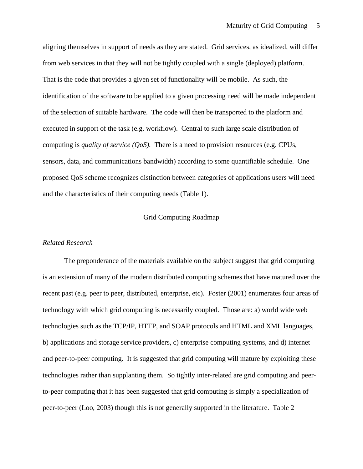aligning themselves in support of needs as they are stated. Grid services, as idealized, will differ from web services in that they will not be tightly coupled with a single (deployed) platform. That is the code that provides a given set of functionality will be mobile. As such, the identification of the software to be applied to a given processing need will be made independent of the selection of suitable hardware. The code will then be transported to the platform and executed in support of the task (e.g. workflow). Central to such large scale distribution of computing is *quality of service (QoS).* There is a need to provision resources (e.g. CPUs, sensors, data, and communications bandwidth) according to some quantifiable schedule. One proposed QoS scheme recognizes distinction between categories of applications users will need and the characteristics of their computing needs (Table 1).

## Grid Computing Roadmap

#### *Related Research*

The preponderance of the materials available on the subject suggest that grid computing is an extension of many of the modern distributed computing schemes that have matured over the recent past (e.g. peer to peer, distributed, enterprise, etc). Foster (2001) enumerates four areas of technology with which grid computing is necessarily coupled. Those are: a) world wide web technologies such as the TCP/IP, HTTP, and SOAP protocols and HTML and XML languages, b) applications and storage service providers, c) enterprise computing systems, and d) internet and peer-to-peer computing. It is suggested that grid computing will mature by exploiting these technologies rather than supplanting them. So tightly inter-related are grid computing and peerto-peer computing that it has been suggested that grid computing is simply a specialization of peer-to-peer (Loo, 2003) though this is not generally supported in the literature. Table 2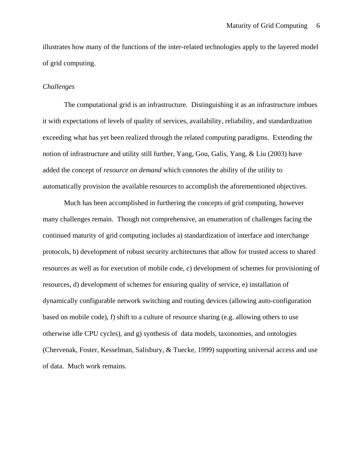illustrates how many of the functions of the inter-related technologies apply to the layered model of grid computing.

#### *Challenges*

The computational grid is an infrastructure. Distinguishing it as an infrastructure imbues it with expectations of levels of quality of services, availability, reliability, and standardization exceeding what has yet been realized through the related computing paradigms. Extending the notion of infrastructure and utility still further, Yang, Gou, Galis, Yang, & Liu (2003) have added the concept of *resource on demand* which connotes the ability of the utility to automatically provision the available resources to accomplish the aforementioned objectives.

Much has been accomplished in furthering the concepts of grid computing, however many challenges remain. Though not comprehensive, an enumeration of challenges facing the continued maturity of grid computing includes a) standardization of interface and interchange protocols, b) development of robust security architectures that allow for trusted access to shared resources as well as for execution of mobile code, c) development of schemes for provisioning of resources, d) development of schemes for ensuring quality of service, e) installation of dynamically configurable network switching and routing devices (allowing auto-configuration based on mobile code), f) shift to a culture of resource sharing (e.g. allowing others to use otherwise idle CPU cycles), and g) synthesis of data models, taxonomies, and ontologies (Chervenak, Foster, Kesselman, Salisbury, & Tuecke, 1999) supporting universal access and use of data. Much work remains.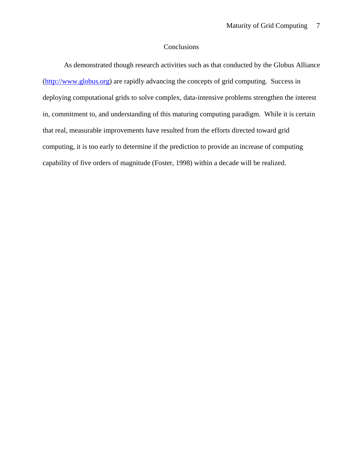## Conclusions

As demonstrated though research activities such as that conducted by the Globus Alliance (http://www.globus.org) are rapidly advancing the concepts of grid computing. Success in deploying computational grids to solve complex, data-intensive problems strengthen the interest in, commitment to, and understanding of this maturing computing paradigm. While it is certain that real, measurable improvements have resulted from the efforts directed toward grid computing, it is too early to determine if the prediction to provide an increase of computing capability of five orders of magnitude (Foster, 1998) within a decade will be realized.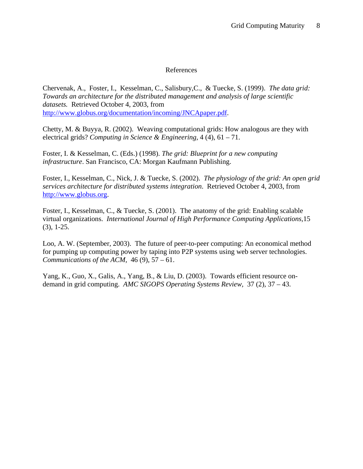## References

Chervenak, A., Foster, I., Kesselman, C., Salisbury,C., & Tuecke, S. (1999). *The data grid: Towards an architecture for the distributed management and analysis of large scientific datasets.* Retrieved October 4, 2003, from http://www.globus.org/documentation/incoming/JNCApaper.pdf.

Chetty, M. & Buyya, R. (2002). Weaving computational grids: How analogous are they with electrical grids? *Computing in Science & Engineering,* 4 (4), 61 – 71.

Foster, I. & Kesselman, C. (Eds.) (1998). *The grid: Blueprint for a new computing infrastructure*. San Francisco, CA: Morgan Kaufmann Publishing.

Foster, I., Kesselman, C., Nick, J. & Tuecke, S. (2002). *The physiology of the grid: An open grid services architecture for distributed systems integration*. Retrieved October 4, 2003, from http://www.globus.org.

Foster, I., Kesselman, C., & Tuecke, S. (2001). The anatomy of the grid: Enabling scalable virtual organizations. *International Journal of High Performance Computing Applications,*15 (3), 1-25.

Loo, A. W. (September, 2003). The future of peer-to-peer computing: An economical method for pumping up computing power by taping into P2P systems using web server technologies. *Communications of the ACM,* 46 (9), 57 – 61.

Yang, K., Guo, X., Galis, A., Yang, B., & Liu, D. (2003). Towards efficient resource ondemand in grid computing. *AMC SIGOPS Operating Systems Review,* 37 (2), 37 – 43.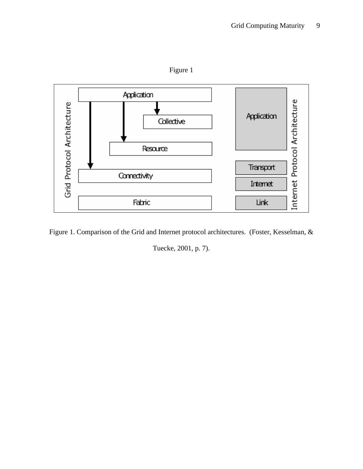Figure 1



Figure 1. Comparison of the Grid and Internet protocol architectures. (Foster, Kesselman, &

Tuecke, 2001, p. 7).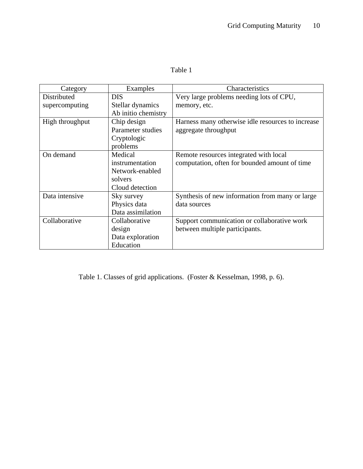| 'able |
|-------|
|-------|

| Category        | Examples            | Characteristics                                   |
|-----------------|---------------------|---------------------------------------------------|
| Distributed     | <b>DIS</b>          | Very large problems needing lots of CPU,          |
| supercomputing  | Stellar dynamics    | memory, etc.                                      |
|                 | Ab initio chemistry |                                                   |
| High throughput | Chip design         | Harness many otherwise idle resources to increase |
|                 | Parameter studies   | aggregate throughput                              |
|                 | Cryptologic         |                                                   |
|                 | problems            |                                                   |
| On demand       | Medical             | Remote resources integrated with local            |
|                 | instrumentation     | computation, often for bounded amount of time     |
|                 | Network-enabled     |                                                   |
|                 | solvers             |                                                   |
|                 | Cloud detection     |                                                   |
| Data intensive  | Sky survey          | Synthesis of new information from many or large   |
|                 | Physics data        | data sources                                      |
|                 | Data assimilation   |                                                   |
| Collaborative   | Collaborative       | Support communication or collaborative work       |
|                 | design              | between multiple participants.                    |
|                 | Data exploration    |                                                   |
|                 | Education           |                                                   |

Table 1. Classes of grid applications. (Foster & Kesselman, 1998, p. 6).